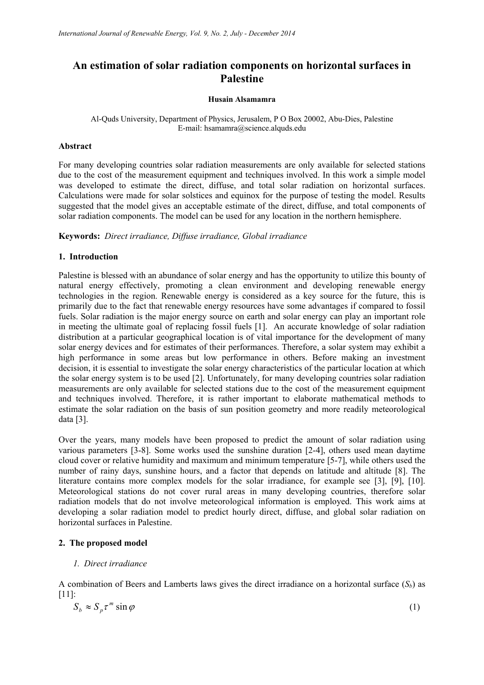# **An estimation of solar radiation components on horizontal surfaces in Palestine**

#### **Husain Alsamamra**

# Al-Quds University, Department of Physics, Jerusalem, P O Box 20002, Abu-Dies, Palestine E-mail: hsamamra@science.alquds.edu

# **Abstract**

For many developing countries solar radiation measurements are only available for selected stations due to the cost of the measurement equipment and techniques involved. In this work a simple model was developed to estimate the direct, diffuse, and total solar radiation on horizontal surfaces. Calculations were made for solar solstices and equinox for the purpose of testing the model. Results suggested that the model gives an acceptable estimate of the direct, diffuse, and total components of solar radiation components. The model can be used for any location in the northern hemisphere.

**Keywords:** *Direct irradiance, Diffuse irradiance, Global irradiance* 

# **1. Introduction**

Palestine is blessed with an abundance of solar energy and has the opportunity to utilize this bounty of natural energy effectively, promoting a clean environment and developing renewable energy technologies in the region. Renewable energy is considered as a key source for the future, this is primarily due to the fact that renewable energy resources have some advantages if compared to fossil fuels. Solar radiation is the major energy source on earth and solar energy can play an important role in meeting the ultimate goal of replacing fossil fuels [1]. An accurate knowledge of solar radiation distribution at a particular geographical location is of vital importance for the development of many solar energy devices and for estimates of their performances. Therefore, a solar system may exhibit a high performance in some areas but low performance in others. Before making an investment decision, it is essential to investigate the solar energy characteristics of the particular location at which the solar energy system is to be used [2]. Unfortunately, for many developing countries solar radiation measurements are only available for selected stations due to the cost of the measurement equipment and techniques involved. Therefore, it is rather important to elaborate mathematical methods to estimate the solar radiation on the basis of sun position geometry and more readily meteorological data [3].

Over the years, many models have been proposed to predict the amount of solar radiation using various parameters [3-8]. Some works used the sunshine duration [2-4], others used mean daytime cloud cover or relative humidity and maximum and minimum temperature [5-7], while others used the number of rainy days, sunshine hours, and a factor that depends on latitude and altitude [8]. The literature contains more complex models for the solar irradiance, for example see [3], [9], [10]. Meteorological stations do not cover rural areas in many developing countries, therefore solar radiation models that do not involve meteorological information is employed. This work aims at developing a solar radiation model to predict hourly direct, diffuse, and global solar radiation on horizontal surfaces in Palestine.

# **2. The proposed model**

### *1. Direct irradiance*

A combination of Beers and Lamberts laws gives the direct irradiance on a horizontal surface  $(S_b)$  as [11]:

$$
S_b \approx S_p \tau^m \sin \varphi \tag{1}
$$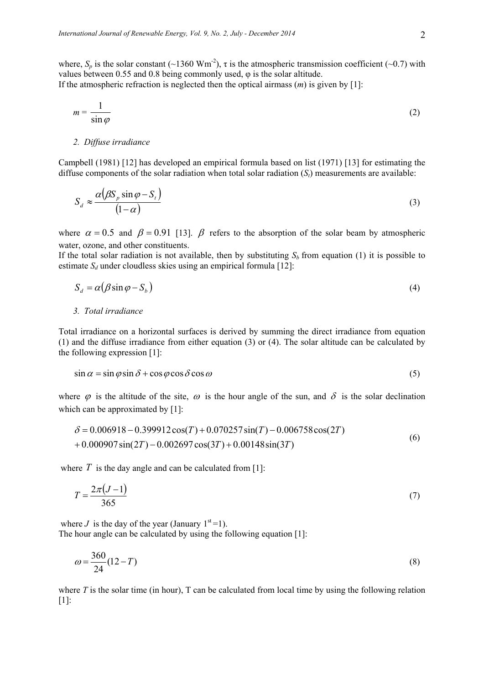where,  $S_p$  is the solar constant (~1360 Wm<sup>-2</sup>),  $\tau$  is the atmospheric transmission coefficient (~0.7) with values between 0.55 and 0.8 being commonly used, φ is the solar altitude. If the atmospheric refraction is neglected then the optical airmass (*m*) is given by [1]:

$$
m = \frac{1}{\sin \varphi} \tag{2}
$$

#### *2. Diffuse irradiance*

Campbell (1981) [12] has developed an empirical formula based on list (1971) [13] for estimating the diffuse components of the solar radiation when total solar radiation  $(S_t)$  measurements are available:

$$
S_d \approx \frac{\alpha(\beta S_p \sin \varphi - S_t)}{(1 - \alpha)}
$$
\n(3)

where  $\alpha = 0.5$  and  $\beta = 0.91$  [13].  $\beta$  refers to the absorption of the solar beam by atmospheric water, ozone, and other constituents.

If the total solar radiation is not available, then by substituting  $S_b$  from equation (1) it is possible to estimate  $S_d$  under cloudless skies using an empirical formula [12]:

$$
S_d = \alpha (\beta \sin \varphi - S_b) \tag{4}
$$

*3. Total irradiance* 

Total irradiance on a horizontal surfaces is derived by summing the direct irradiance from equation (1) and the diffuse irradiance from either equation (3) or (4). The solar altitude can be calculated by the following expression [1]:

$$
\sin \alpha = \sin \varphi \sin \delta + \cos \varphi \cos \delta \cos \omega \tag{5}
$$

where  $\varphi$  is the altitude of the site,  $\omega$  is the hour angle of the sun, and  $\delta$  is the solar declination which can be approximated by [1]:

$$
\delta = 0.006918 - 0.399912 \cos(T) + 0.070257 \sin(T) - 0.006758 \cos(2T)
$$
  
+ 0.000907 sin(2T) - 0.002697 cos(3T) + 0.00148 sin(3T) (6)

where  $T$  is the day angle and can be calculated from [1]:

$$
T = \frac{2\pi(J-1)}{365}
$$
 (7)

where *J* is the day of the year (January  $1<sup>st</sup>=1$ ).

The hour angle can be calculated by using the following equation [1]:

$$
\omega = \frac{360}{24} (12 - T) \tag{8}
$$

where  $T$  is the solar time (in hour),  $T$  can be calculated from local time by using the following relation [1]: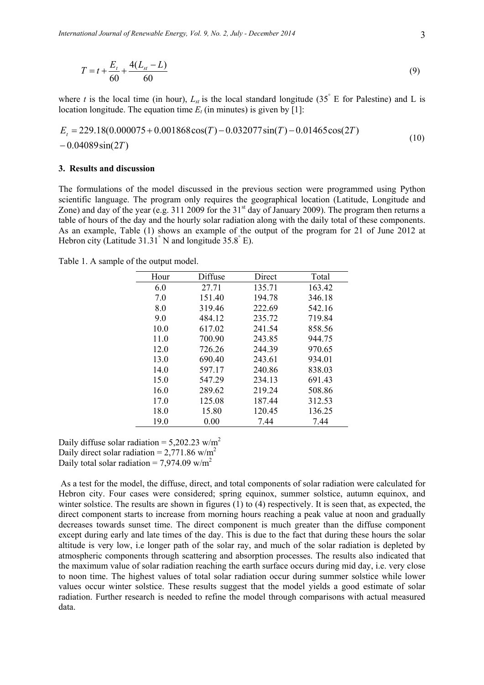$$
T = t + \frac{E_t}{60} + \frac{4(L_{st} - L)}{60}
$$
\n<sup>(9)</sup>

where *t* is the local time (in hour),  $L_{st}$  is the local standard longitude (35° E for Palestine) and L is location longitude. The equation time  $E_t$  (in minutes) is given by [1]:

$$
E_t = 229.18(0.000075 + 0.001868\cos(T) - 0.032077\sin(T) - 0.01465\cos(2T) - 0.04089\sin(2T)
$$
\n(10)

#### **3. Results and discussion**

The formulations of the model discussed in the previous section were programmed using Python scientific language. The program only requires the geographical location (Latitude, Longitude and Zone) and day of the year (e.g. 311 2009 for the  $31<sup>st</sup>$  day of January 2009). The program then returns a table of hours of the day and the hourly solar radiation along with the daily total of these components. As an example, Table (1) shows an example of the output of the program for 21 of June 2012 at Hebron city (Latitude  $31.31^{\circ}$  N and longitude  $35.8^{\circ}$  E).

Table 1. A sample of the output model.

| Hour | Diffuse | Direct | Total  |
|------|---------|--------|--------|
| 6.0  | 27.71   | 135.71 | 163.42 |
| 7.0  | 151.40  | 194.78 | 346.18 |
| 8.0  | 319.46  | 222.69 | 542.16 |
| 9.0  | 484.12  | 235.72 | 719.84 |
| 10.0 | 617.02  | 241.54 | 858.56 |
| 11.0 | 700.90  | 243.85 | 944.75 |
| 12.0 | 726.26  | 244.39 | 970.65 |
| 13.0 | 690.40  | 243.61 | 934.01 |
| 14.0 | 597.17  | 240.86 | 838.03 |
| 15.0 | 547.29  | 234.13 | 691.43 |
| 16.0 | 289.62  | 219.24 | 508.86 |
| 17.0 | 125.08  | 187.44 | 312.53 |
| 18.0 | 15.80   | 120.45 | 136.25 |
| 19.0 | 0.00    | 7.44   | 7.44   |

Daily diffuse solar radiation =  $5.202.23$  w/m<sup>2</sup> Daily direct solar radiation =  $2,771.86$  w/m<sup>2</sup> Daily total solar radiation =  $7.974.09$  w/m<sup>2</sup>

 As a test for the model, the diffuse, direct, and total components of solar radiation were calculated for Hebron city. Four cases were considered; spring equinox, summer solstice, autumn equinox, and winter solstice. The results are shown in figures  $(1)$  to  $(4)$  respectively. It is seen that, as expected, the direct component starts to increase from morning hours reaching a peak value at noon and gradually decreases towards sunset time. The direct component is much greater than the diffuse component except during early and late times of the day. This is due to the fact that during these hours the solar altitude is very low, i.e longer path of the solar ray, and much of the solar radiation is depleted by atmospheric components through scattering and absorption processes. The results also indicated that the maximum value of solar radiation reaching the earth surface occurs during mid day, i.e. very close to noon time. The highest values of total solar radiation occur during summer solstice while lower values occur winter solstice. These results suggest that the model yields a good estimate of solar radiation. Further research is needed to refine the model through comparisons with actual measured data.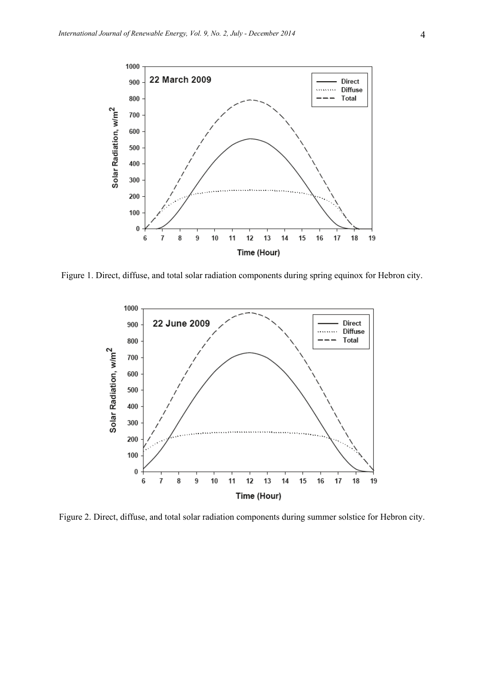

Figure 1. Direct, diffuse, and total solar radiation components during spring equinox for Hebron city.



Figure 2. Direct, diffuse, and total solar radiation components during summer solstice for Hebron city.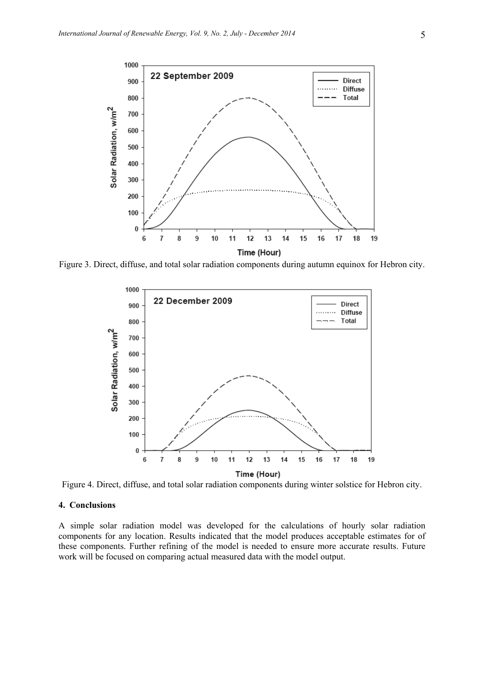

Figure 3. Direct, diffuse, and total solar radiation components during autumn equinox for Hebron city.



Figure 4. Direct, diffuse, and total solar radiation components during winter solstice for Hebron city.

## **4. Conclusions**

A simple solar radiation model was developed for the calculations of hourly solar radiation components for any location. Results indicated that the model produces acceptable estimates for of these components. Further refining of the model is needed to ensure more accurate results. Future work will be focused on comparing actual measured data with the model output.